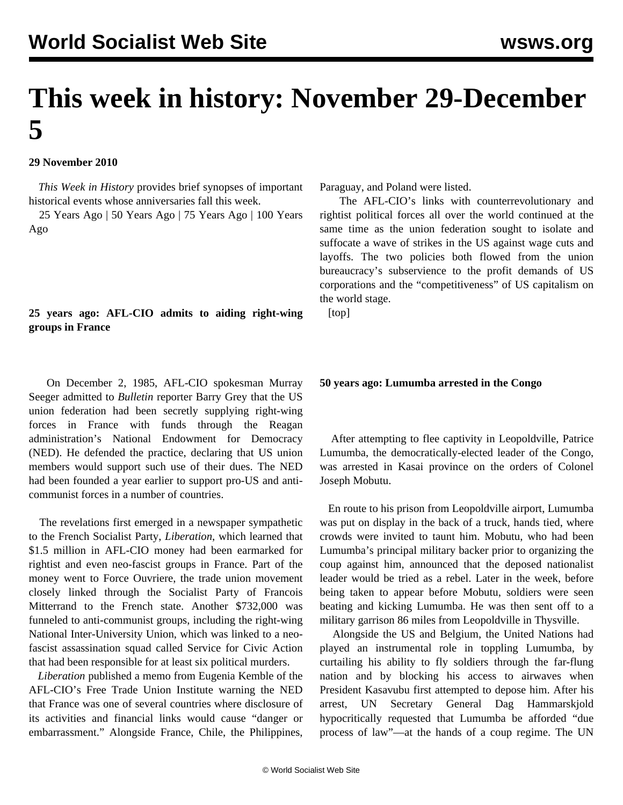# **This week in history: November 29-December 5**

## **29 November 2010**

 *This Week in History* provides brief synopses of important historical events whose anniversaries fall this week.

 25 Years Ago | 50 Years Ago | 75 Years Ago | 100 Years Ago

# **25 years ago: AFL-CIO admits to aiding right-wing groups in France**

 On December 2, 1985, AFL-CIO spokesman Murray Seeger admitted to *Bulletin* reporter Barry Grey that the US union federation had been secretly supplying right-wing forces in France with funds through the Reagan administration's National Endowment for Democracy (NED). He defended the practice, declaring that US union members would support such use of their dues. The NED had been founded a year earlier to support pro-US and anticommunist forces in a number of countries.

 The revelations first emerged in a newspaper sympathetic to the French Socialist Party, *Liberation*, which learned that \$1.5 million in AFL-CIO money had been earmarked for rightist and even neo-fascist groups in France. Part of the money went to Force Ouvriere, the trade union movement closely linked through the Socialist Party of Francois Mitterrand to the French state. Another \$732,000 was funneled to anti-communist groups, including the right-wing National Inter-University Union, which was linked to a neofascist assassination squad called Service for Civic Action that had been responsible for at least six political murders.

 *Liberation* published a memo from Eugenia Kemble of the AFL-CIO's Free Trade Union Institute warning the NED that France was one of several countries where disclosure of its activities and financial links would cause "danger or embarrassment." Alongside France, Chile, the Philippines, Paraguay, and Poland were listed.

 The AFL-CIO's links with counterrevolutionary and rightist political forces all over the world continued at the same time as the union federation sought to isolate and suffocate a wave of strikes in the US against wage cuts and layoffs. The two policies both flowed from the union bureaucracy's subservience to the profit demands of US corporations and the "competitiveness" of US capitalism on the world stage.

[top]

#### **50 years ago: Lumumba arrested in the Congo**

 After attempting to flee captivity in Leopoldville, Patrice Lumumba, the democratically-elected leader of the Congo, was arrested in Kasai province on the orders of Colonel Joseph Mobutu.

 En route to his prison from Leopoldville airport, Lumumba was put on display in the back of a truck, hands tied, where crowds were invited to taunt him. Mobutu, who had been Lumumba's principal military backer prior to organizing the coup against him, announced that the deposed nationalist leader would be tried as a rebel. Later in the week, before being taken to appear before Mobutu, soldiers were seen beating and kicking Lumumba. He was then sent off to a military garrison 86 miles from Leopoldville in Thysville.

 Alongside the US and Belgium, the United Nations had played an instrumental role in toppling Lumumba, by curtailing his ability to fly soldiers through the far-flung nation and by blocking his access to airwaves when President Kasavubu first attempted to depose him. After his arrest, UN Secretary General Dag Hammarskjold hypocritically requested that Lumumba be afforded "due process of law"—at the hands of a coup regime. The UN